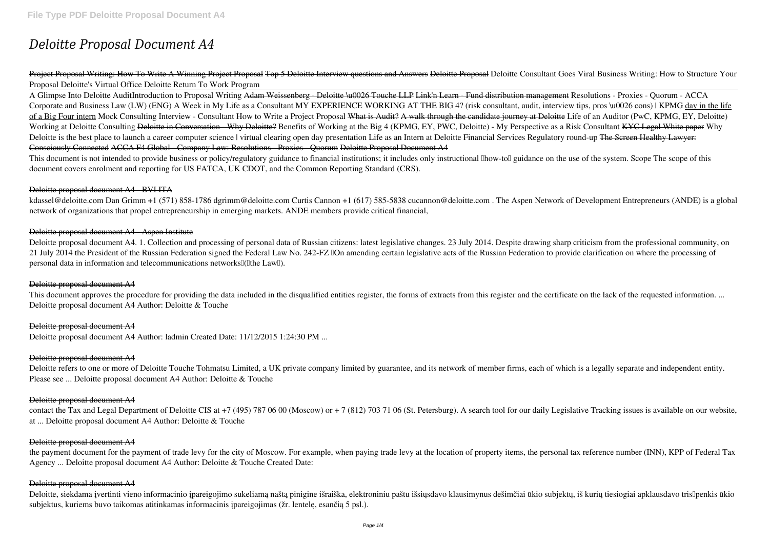# *Deloitte Proposal Document A4*

Project Proposal Writing: How To Write A Winning Project Proposal Top 5 Deloitte Interview questions and Answers Deloitte Proposal *Deloitte Consultant Goes Viral Business Writing: How to Structure Your Proposal Deloitte's Virtual Office* Deloitte Return To Work Program

This document is not intended to provide business or policy/regulatory guidance to financial institutions; it includes only instructional llhow-toll guidance on the use of the system. Scope The scope of this document covers enrolment and reporting for US FATCA, UK CDOT, and the Common Reporting Standard (CRS).

A Glimpse Into Deloitte Audit*Introduction to Proposal Writing* Adam Weissenberg - Deloitte \u0026 Touche LLP Link'n Learn - Fund distribution management **Resolutions - Proxies - Quorum - ACCA Corporate and Business Law (LW) (ENG) A Week in My Life as a Consultant** MY EXPERIENCE WORKING AT THE BIG 4? (risk consultant, audit, interview tips, pros \u0026 cons) | KPMG day in the life of a Big Four intern *Mock Consulting Interview - Consultant* **How to Write a Project Proposal** What is Audit? A walk through the candidate journey at Deloitte *Life of an Auditor (PwC, KPMG, EY, Deloitte)* Working at Deloitte Consulting <del>Deloitte in Conversation - Why Deloitte?</del> Benefits of Working at the Big 4 (KPMG, EY, PWC, Deloitte) - My Perspective as a Risk Consultant KYC Legal White paper Why Deloitte is the best place to launch a career computer science I virtual clearing open day presentation Life as an Intern at Deloitte Financial Services Regulatory round-up The Sereen Healthy Lawyer: Consciously Connected ACCA F4 Global - Company Law: Resolutions - Proxies - Quorum Deloitte Proposal Document A4

kdassel@deloitte.com Dan Grimm +1 (571) 858-1786 dgrimm@deloitte.com Curtis Cannon +1 (617) 585-5838 cucannon@deloitte.com . The Aspen Network of Development Entrepreneurs (ANDE) is a global network of organizations that propel entrepreneurship in emerging markets. ANDE members provide critical financial,

Deloitte proposal document A4. 1. Collection and processing of personal data of Russian citizens: latest legislative changes. 23 July 2014. Despite drawing sharp criticism from the professional community, on 21 July 2014 the President of the Russian Federation signed the Federal Law No. 242-FZ "On amending certain legislative acts of the Russian Federation to provide clarification on where the processing of personal data in information and telecommunications networks<sup>[[([]</sup>the Law<sup>[]</sup>).

This document approves the procedure for providing the data included in the disqualified entities register, the forms of extracts from this register and the certificate on the lack of the requested information. ... Deloitte proposal document A4 Author: Deloitte & Touche

Deloitte refers to one or more of Deloitte Touche Tohmatsu Limited, a UK private company limited by guarantee, and its network of member firms, each of which is a legally separate and independent entity. Please see ... Deloitte proposal document A4 Author: Deloitte & Touche

## Deloitte proposal document A4 - BVI ITA

contact the Tax and Legal Department of Deloitte CIS at +7 (495) 787 06 00 (Moscow) or + 7 (812) 703 71 06 (St. Petersburg). A search tool for our daily Legislative Tracking issues is available on our website, at ... Deloitte proposal document A4 Author: Deloitte & Touche

# Deloitte proposal document A4 - Aspen Institute

Deloitte, siekdama įvertinti vieno informacinio įpareigojimo sukeliamą naštą pinigine išraiška, elektroniniu paštu išsiųsdavo klausimynus dešimčiai ūkio subjektų, iš kurių tiesiogiai apklausdavo tris<sup>penkis</sup> ūkio subjektus, kuriems buvo taikomas atitinkamas informacinis įpareigojimas (žr. lentelę, esančią 5 psl.).

# Deloitte proposal document A4

# Deloitte proposal document A4

Deloitte proposal document A4 Author: ladmin Created Date: 11/12/2015 1:24:30 PM ...

#### Deloitte proposal document A4

#### Deloitte proposal document A4

#### Deloitte proposal document A4

the payment document for the payment of trade levy for the city of Moscow. For example, when paying trade levy at the location of property items, the personal tax reference number (INN), KPP of Federal Tax Agency ... Deloitte proposal document A4 Author: Deloitte & Touche Created Date:

#### Deloitte proposal document A4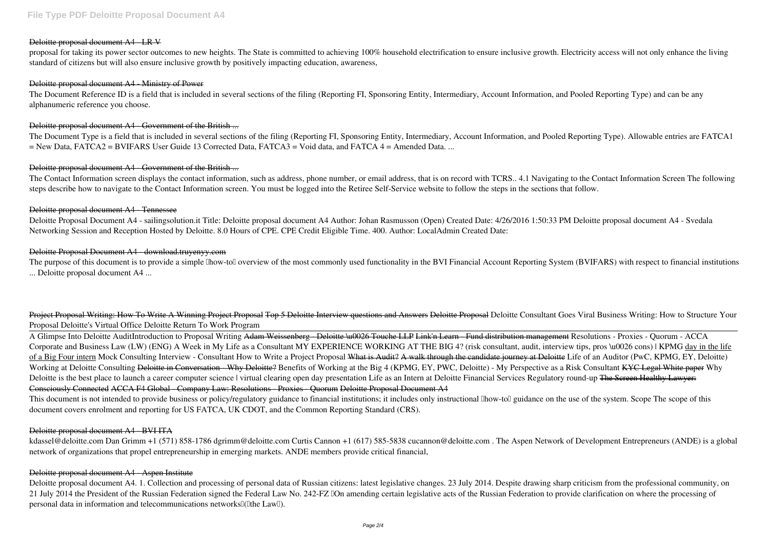#### Deloitte proposal document A4 LR V

proposal for taking its power sector outcomes to new heights. The State is committed to achieving 100% household electrification to ensure inclusive growth. Electricity access will not only enhance the living standard of citizens but will also ensure inclusive growth by positively impacting education, awareness,

#### Deloitte proposal document A4 - Ministry of Power

The Document Reference ID is a field that is included in several sections of the filing (Reporting FI, Sponsoring Entity, Intermediary, Account Information, and Pooled Reporting Type) and can be any alphanumeric reference you choose.

### Deloitte proposal document A4 - Government of the British ...

The Document Type is a field that is included in several sections of the filing (Reporting FI, Sponsoring Entity, Intermediary, Account Information, and Pooled Reporting Type). Allowable entries are FATCA1 = New Data, FATCA2 = BVIFARS User Guide 13 Corrected Data, FATCA3 = Void data, and FATCA 4 = Amended Data. ...

## Deloitte proposal document A4 Government of the British ...

The purpose of this document is to provide a simple llhow-toll overview of the most commonly used functionality in the BVI Financial Account Reporting System (BVIFARS) with respect to financial institutions ... Deloitte proposal document A4 ...

The Contact Information screen displays the contact information, such as address, phone number, or email address, that is on record with TCRS.. 4.1 Navigating to the Contact Information Screen The following steps describe how to navigate to the Contact Information screen. You must be logged into the Retiree Self-Service website to follow the steps in the sections that follow.

#### Deloitte proposal document A4 - Tennessee

Deloitte Proposal Document A4 - sailingsolution.it Title: Deloitte proposal document A4 Author: Johan Rasmusson (Open) Created Date: 4/26/2016 1:50:33 PM Deloitte proposal document A4 - Svedala Networking Session and Reception Hosted by Deloitte. 8.0 Hours of CPE. CPE Credit Eligible Time. 400. Author: LocalAdmin Created Date:

#### Deloitte Proposal Document A4 - download.truyenyy.com

This document is not intended to provide business or policy/regulatory guidance to financial institutions; it includes only instructional lhow-toll guidance on the use of the system. Scope The scope of this document covers enrolment and reporting for US FATCA, UK CDOT, and the Common Reporting Standard (CRS).

kdassel@deloitte.com Dan Grimm +1 (571) 858-1786 dgrimm@deloitte.com Curtis Cannon +1 (617) 585-5838 cucannon@deloitte.com. The Aspen Network of Development Entrepreneurs (ANDE) is a global network of organizations that propel entrepreneurship in emerging markets. ANDE members provide critical financial,

Deloitte proposal document A4. 1. Collection and processing of personal data of Russian citizens: latest legislative changes. 23 July 2014. Despite drawing sharp criticism from the professional community, on 21 July 2014 the President of the Russian Federation signed the Federal Law No. 242-FZ "On amending certain legislative acts of the Russian Federation to provide clarification on where the processing of personal data in information and telecommunications networks [([Ithe Law []).

Project Proposal Writing: How To Write A Winning Project Proposal Top 5 Deloitte Interview questions and Answers Deloitte Proposal *Deloitte Consultant Goes Viral Business Writing: How to Structure Your Proposal Deloitte's Virtual Office* Deloitte Return To Work Program

A Glimpse Into Deloitte Audit*Introduction to Proposal Writing* Adam Weissenberg - Deloitte \u0026 Touche LLP Link'n Learn - Fund distribution management **Resolutions - Proxies - Quorum - ACCA Corporate and Business Law (LW) (ENG) A Week in My Life as a Consultant** MY EXPERIENCE WORKING AT THE BIG 4? (risk consultant, audit, interview tips, pros \u0026 cons) | KPMG day in the life of a Big Four intern *Mock Consulting Interview - Consultant* **How to Write a Project Proposal** What is Audit? A walk through the candidate journey at Deloitte *Life of an Auditor (PwC, KPMG, EY, Deloitte)* Working at Deloitte Consulting <del>Deloitte in Conversation - Why Deloitte?</del> Benefits of Working at the Big 4 (KPMG, EY, PWC, Deloitte) - My Perspective as a Risk Consultant KYC Legal White paper Why Deloitte is the best place to launch a career computer science I virtual clearing open day presentation Life as an Intern at Deloitte Financial Services Regulatory round-up The Sereen Healthy Lawyer: Consciously Connected ACCA F4 Global - Company Law: Resolutions - Proxies - Quorum Deloitte Proposal Document A4

#### Deloitte proposal document A4 - BVI ITA

# Deloitte proposal document A4 - Aspen Institute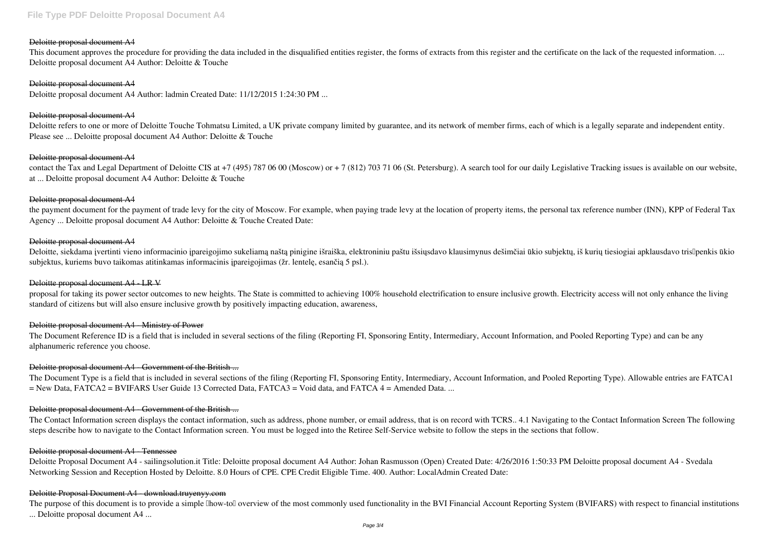## Deloitte proposal document A4

This document approves the procedure for providing the data included in the disqualified entities register, the forms of extracts from this register and the certificate on the lack of the requested information. ... Deloitte proposal document A4 Author: Deloitte & Touche

## Deloitte proposal document A4

Deloitte refers to one or more of Deloitte Touche Tohmatsu Limited, a UK private company limited by guarantee, and its network of member firms, each of which is a legally separate and independent entity. Please see ... Deloitte proposal document A4 Author: Deloitte & Touche

Deloitte proposal document A4 Author: ladmin Created Date: 11/12/2015 1:24:30 PM ...

## Deloitte proposal document A4

contact the Tax and Legal Department of Deloitte CIS at +7 (495) 787 06 00 (Moscow) or + 7 (812) 703 71 06 (St. Petersburg). A search tool for our daily Legislative Tracking issues is available on our website, at ... Deloitte proposal document A4 Author: Deloitte & Touche

## Deloitte proposal document A4

Deloitte, siekdama įvertinti vieno informacinio įpareigojimo sukeliamą naštą pinigine išraiška, elektroniniu paštu išsiųsdavo klausimynus dešimčiai ūkio subjektų, iš kurių tiesiogiai apklausdavo tris<sup>penkis</sup> ūkio subjektus, kuriems buvo taikomas atitinkamas informacinis įpareigojimas (žr. lentelę, esančią 5 psl.).

# Deloitte proposal document A4 LRV

## Deloitte proposal document A4

the payment document for the payment of trade levy for the city of Moscow. For example, when paying trade levy at the location of property items, the personal tax reference number (INN), KPP of Federal Tax Agency ... Deloitte proposal document A4 Author: Deloitte & Touche Created Date:

## Deloitte proposal document A4

The Contact Information screen displays the contact information, such as address, phone number, or email address, that is on record with TCRS.. 4.1 Navigating to the Contact Information Screen The following steps describe how to navigate to the Contact Information screen. You must be logged into the Retiree Self-Service website to follow the steps in the sections that follow.

proposal for taking its power sector outcomes to new heights. The State is committed to achieving 100% household electrification to ensure inclusive growth. Electricity access will not only enhance the living standard of citizens but will also ensure inclusive growth by positively impacting education, awareness,

The purpose of this document is to provide a simple llhow-toll overview of the most commonly used functionality in the BVI Financial Account Reporting System (BVIFARS) with respect to financial institutions ... Deloitte proposal document A4 ...

# Deloitte proposal document A4 - Ministry of Power

The Document Reference ID is a field that is included in several sections of the filing (Reporting FI, Sponsoring Entity, Intermediary, Account Information, and Pooled Reporting Type) and can be any alphanumeric reference you choose.

# Deloitte proposal document A4 - Government of the British ...

The Document Type is a field that is included in several sections of the filing (Reporting FI, Sponsoring Entity, Intermediary, Account Information, and Pooled Reporting Type). Allowable entries are FATCA1 = New Data, FATCA2 = BVIFARS User Guide 13 Corrected Data, FATCA3 = Void data, and FATCA 4 = Amended Data. ...

# Deloitte proposal document A4 - Government of the British ...

#### Deloitte proposal document A4 - Tennessee

Deloitte Proposal Document A4 - sailingsolution.it Title: Deloitte proposal document A4 Author: Johan Rasmusson (Open) Created Date: 4/26/2016 1:50:33 PM Deloitte proposal document A4 - Svedala Networking Session and Reception Hosted by Deloitte. 8.0 Hours of CPE. CPE Credit Eligible Time. 400. Author: LocalAdmin Created Date:

# Deloitte Proposal Document A4 - download.truyenyy.com